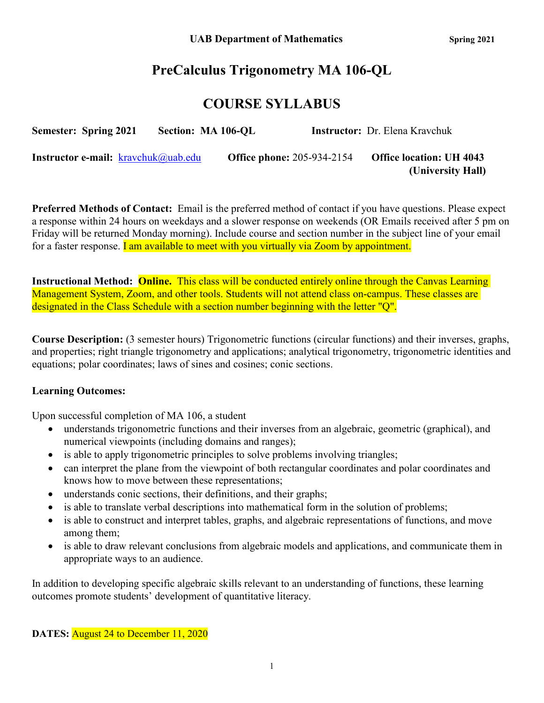## **PreCalculus Trigonometry MA 106-QL**

## **COURSE SYLLABUS**

| <b>Semester: Spring 2021</b>                  | Section: MA 106-OL |                                   | <b>Instructor:</b> Dr. Elena Kravchuk |
|-----------------------------------------------|--------------------|-----------------------------------|---------------------------------------|
| <b>Instructor e-mail:</b> $k$ ravchuk@uab.edu |                    | <b>Office phone: 205-934-2154</b> | <b>Office location: UH 4043</b>       |
|                                               |                    |                                   | (University Hall)                     |

**Preferred Methods of Contact:** Email is the preferred method of contact if you have questions. Please expect a response within 24 hours on weekdays and a slower response on weekends (OR Emails received after 5 pm on Friday will be returned Monday morning). Include course and section number in the subject line of your email for a faster response. I am available to meet with you virtually via Zoom by appointment.

**Instructional Method: Online.** This class will be conducted entirely online through the Canvas Learning Management System, Zoom, and other tools. Students will not attend class on-campus. These classes are designated in the Class Schedule with a section number beginning with the letter "Q".

**Course Description:** (3 semester hours) Trigonometric functions (circular functions) and their inverses, graphs, and properties; right triangle trigonometry and applications; analytical trigonometry, trigonometric identities and equations; polar coordinates; laws of sines and cosines; conic sections.

### **Learning Outcomes:**

Upon successful completion of MA 106, a student

- understands trigonometric functions and their inverses from an algebraic, geometric (graphical), and numerical viewpoints (including domains and ranges);
- is able to apply trigonometric principles to solve problems involving triangles;
- can interpret the plane from the viewpoint of both rectangular coordinates and polar coordinates and knows how to move between these representations;
- understands conic sections, their definitions, and their graphs;
- is able to translate verbal descriptions into mathematical form in the solution of problems;
- is able to construct and interpret tables, graphs, and algebraic representations of functions, and move among them;
- is able to draw relevant conclusions from algebraic models and applications, and communicate them in appropriate ways to an audience.

In addition to developing specific algebraic skills relevant to an understanding of functions, these learning outcomes promote students' development of quantitative literacy.

**DATES:** August 24 to December 11, 2020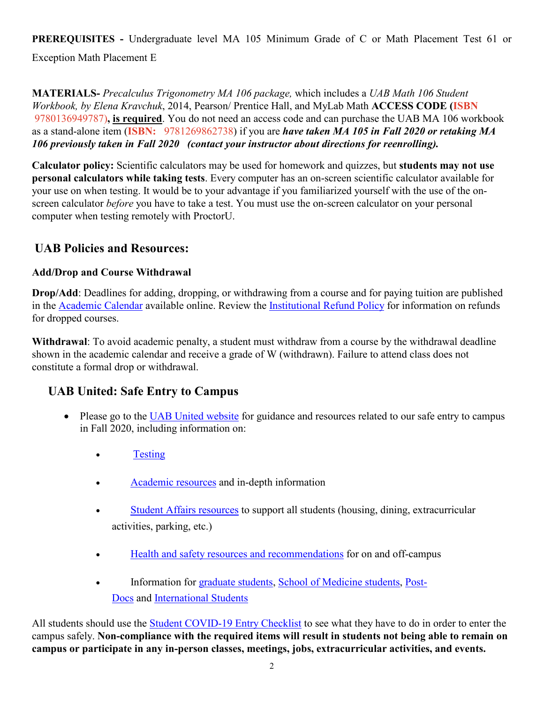**PREREQUISITES -** Undergraduate level MA 105 Minimum Grade of C or Math Placement Test 61 or Exception Math Placement E

**MATERIALS-** *Precalculus Trigonometry MA 106 package,* which includes a *UAB Math 106 Student Workbook, by Elena Kravchuk*, 2014, Pearson/ Prentice Hall, and MyLab Math **ACCESS CODE (ISBN**  9780136949787)**, is required**. You do not need an access code and can purchase the UAB MA 106 workbook as a stand-alone item (**ISBN:** 9781269862738) if you are *have taken MA 105 in Fall 2020 or retaking MA 106 previously taken in Fall 2020 (contact your instructor about directions for reenrolling).*

**Calculator policy:** Scientific calculators may be used for homework and quizzes, but **students may not use personal calculators while taking tests**. Every computer has an on-screen scientific calculator available for your use on when testing. It would be to your advantage if you familiarized yourself with the use of the onscreen calculator *before* you have to take a test. You must use the on-screen calculator on your personal computer when testing remotely with ProctorU.

## **UAB Policies and Resources:**

### **Add/Drop and Course Withdrawal**

**Drop/Add**: Deadlines for adding, dropping, or withdrawing from a course and for paying tuition are published in the [Academic Calendar](https://www.uab.edu/students/academics/academic-calendar) available online. Review the [Institutional Refund Policy](https://www.uab.edu/students/one-stop/policies/institutional-refund-policy) for information on refunds for dropped courses.

**Withdrawal**: To avoid academic penalty, a student must withdraw from a course by the withdrawal deadline shown in the academic calendar and receive a grade of W (withdrawn). Failure to attend class does not constitute a formal drop or withdrawal.

## **UAB United: Safe Entry to Campus**

- Please go to the [UAB United website](https://www.uab.edu/uabunited/students) for guidance and resources related to our safe entry to campus in Fall 2020, including information on:
	- [Testing](https://www.uab.edu/uabunited/students/testing)
	- [Academic resources](https://www.uab.edu/uabunited/students/academics) and in-depth information
	- [Student Affairs resources](https://www.uab.edu/uabunited/students/student-affairs) to support all students (housing, dining, extracurricular activities, parking, etc.)
	- [Health and safety resources and recommendations](https://www.uab.edu/uabunited/students/health-safety) for on and off-campus
	- Information for [graduate students,](https://www.uab.edu/graduate/about/graduate-school-covid-19-updates) [School of Medicine students,](https://www.uab.edu/medicine/home/covid-19-updates) [Post-](https://www.uab.edu/postdocs/covid-19)[Docs](https://www.uab.edu/postdocs/covid-19) and [International Students](https://www.uab.edu/global/about/programs-services/isss/faqs-concerning-recent-sevp-guidance-and-covid-19-planning)

All students should use the [Student COVID-19 Entry Checklist](https://www.uab.edu/uabunited/entry-checklists#student-checklist) to see what they have to do in order to enter the campus safely. **Non-compliance with the required items will result in students not being able to remain on campus or participate in any in-person classes, meetings, jobs, extracurricular activities, and events.**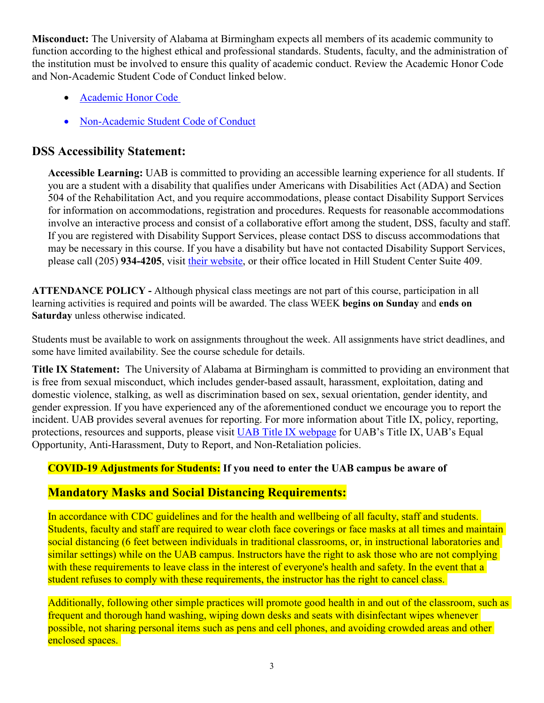**Misconduct:** The University of Alabama at Birmingham expects all members of its academic community to function according to the highest ethical and professional standards. Students, faculty, and the administration of the institution must be involved to ensure this quality of academic conduct. Review the Academic Honor Code and Non-Academic Student Code of Conduct linked below.

- [Academic Honor Code](http://www.uab.edu/students/one-stop/policies/academic-honor-code)
- [Non-Academic Student Code of Conduct](http://www.uab.edu/studentconduct)

## **DSS Accessibility Statement:**

**Accessible Learning:** UAB is committed to providing an accessible learning experience for all students. If you are a student with a disability that qualifies under Americans with Disabilities Act (ADA) and Section 504 of the Rehabilitation Act, and you require accommodations, please contact Disability Support Services for information on accommodations, registration and procedures. Requests for reasonable accommodations involve an interactive process and consist of a collaborative effort among the student, DSS, faculty and staff. If you are registered with Disability Support Services, please contact DSS to discuss accommodations that may be necessary in this course. If you have a disability but have not contacted Disability Support Services, please call (205) **934-4205**, visit [their website,](http://www.uab.edu/dss) or their office located in Hill Student Center Suite 409.

**ATTENDANCE POLICY -** Although physical class meetings are not part of this course, participation in all learning activities is required and points will be awarded. The class WEEK **begins on Sunday** and **ends on Saturday** unless otherwise indicated.

Students must be available to work on assignments throughout the week. All assignments have strict deadlines, and some have limited availability. See the course schedule for details.

**Title IX Statement:** The University of Alabama at Birmingham is committed to providing an environment that is free from sexual misconduct, which includes gender-based assault, harassment, exploitation, dating and domestic violence, stalking, as well as discrimination based on sex, sexual orientation, gender identity, and gender expression. If you have experienced any of the aforementioned conduct we encourage you to report the incident. UAB provides several avenues for reporting. For more information about Title IX, policy, reporting, protections, resources and supports, please visit [UAB Title IX webpage](http://www.uab.edu/titleix) for UAB's Title IX, UAB's Equal Opportunity, Anti-Harassment, Duty to Report, and Non-Retaliation policies.

## **COVID-19 Adjustments for Students: If you need to enter the UAB campus be aware of**

### **Mandatory Masks and Social Distancing Requirements:**

In accordance with CDC guidelines and for the health and wellbeing of all faculty, staff and students. Students, faculty and staff are required to wear cloth face coverings or face masks at all times and maintain social distancing (6 feet between individuals in traditional classrooms, or, in instructional laboratories and similar settings) while on the UAB campus. Instructors have the right to ask those who are not complying with these requirements to leave class in the interest of everyone's health and safety. In the event that a student refuses to comply with these requirements, the instructor has the right to cancel class.

Additionally, following other simple practices will promote good health in and out of the classroom, such as frequent and thorough hand washing, wiping down desks and seats with disinfectant wipes whenever possible, not sharing personal items such as pens and cell phones, and avoiding crowded areas and other enclosed spaces.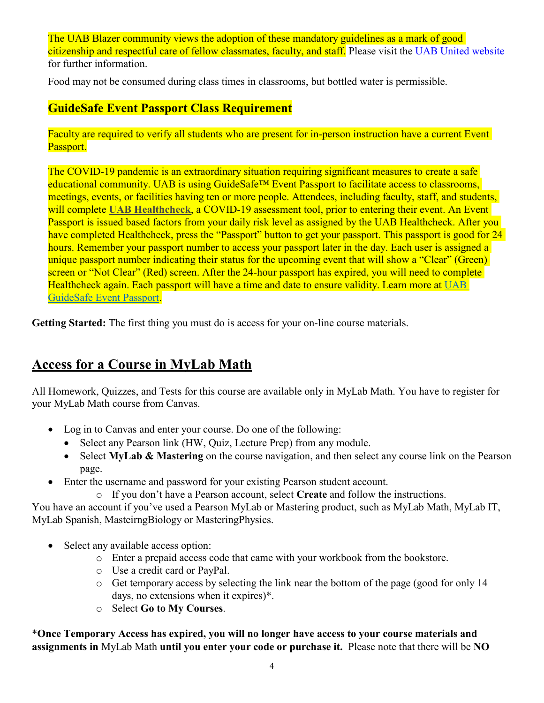The UAB Blazer community views the adoption of these mandatory guidelines as a mark of good citizenship and respectful care of fellow classmates, faculty, and staff. Please visit the [UAB United website](https://www.uab.edu/uabunited/students) for further information.

Food may not be consumed during class times in classrooms, but bottled water is permissible.

## **GuideSafe Event Passport Class Requirement**

Faculty are required to verify all students who are present for in-person instruction have a current Event Passport.

The COVID-19 pandemic is an extraordinary situation requiring significant measures to create a safe educational community. UAB is using GuideSafe™ Event Passport to facilitate access to classrooms, meetings, events, or facilities having ten or more people. Attendees, including faculty, staff, and students, will complete [UAB Healthcheck](https://www.uab.edu/uabunited/uab-healthcheck), a COVID-19 assessment tool, prior to entering their event. An Event Passport is issued based factors from your daily risk level as assigned by the UAB Healthcheck. After you have completed Healthcheck, press the "Passport" button to get your passport. This passport is good for 24 hours. Remember your passport number to access your passport later in the day. Each user is assigned a unique passport number indicating their status for the upcoming event that will show a "Clear" (Green) screen or "Not Clear" (Red) screen. After the 24-hour passport has expired, you will need to complete Healthcheck again. Each passport will have a time and date to ensure validity. Learn more at [UAB](https://www.uab.edu/uabunited/guidesafe-event-passport)  [GuideSafe Event Passport.](https://www.uab.edu/uabunited/guidesafe-event-passport)

**Getting Started:** The first thing you must do is access for your on-line course materials.

## **Access for a Course in MyLab Math**

All Homework, Quizzes, and Tests for this course are available only in MyLab Math. You have to register for your MyLab Math course from Canvas.

- Log in to Canvas and enter your course. Do one of the following:
	- Select any Pearson link (HW, Quiz, Lecture Prep) from any module.
	- Select **MyLab & Mastering** on the course navigation, and then select any course link on the Pearson page.
- Enter the username and password for your existing Pearson student account.

o If you don't have a Pearson account, select **Create** and follow the instructions.

You have an account if you've used a Pearson MyLab or Mastering product, such as MyLab Math, MyLab IT, MyLab Spanish, MasteirngBiology or MasteringPhysics.

- Select any available access option:
	- o Enter a prepaid access code that came with your workbook from the bookstore.
	- o Use a credit card or PayPal.
	- o Get temporary access by selecting the link near the bottom of the page (good for only 14 days, no extensions when it expires)\*.
	- o Select **Go to My Courses**.

\***Once Temporary Access has expired, you will no longer have access to your course materials and assignments in** MyLab Math **until you enter your code or purchase it.** Please note that there will be **NO**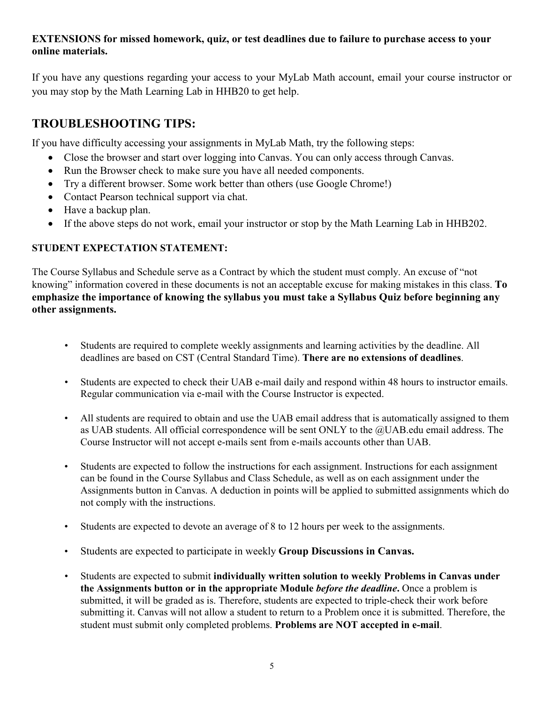### **EXTENSIONS for missed homework, quiz, or test deadlines due to failure to purchase access to your online materials.**

If you have any questions regarding your access to your MyLab Math account, email your course instructor or you may stop by the Math Learning Lab in HHB20 to get help.

## **TROUBLESHOOTING TIPS:**

If you have difficulty accessing your assignments in MyLab Math, try the following steps:

- Close the browser and start over logging into Canvas. You can only access through Canvas.
- Run the Browser check to make sure you have all needed components.
- Try a different browser. Some work better than others (use Google Chrome!)
- Contact Pearson technical support via chat.
- Have a backup plan.
- If the above steps do not work, email your instructor or stop by the Math Learning Lab in HHB202.

### **STUDENT EXPECTATION STATEMENT:**

The Course Syllabus and Schedule serve as a Contract by which the student must comply. An excuse of "not knowing" information covered in these documents is not an acceptable excuse for making mistakes in this class. **To emphasize the importance of knowing the syllabus you must take a Syllabus Quiz before beginning any other assignments.**

- Students are required to complete weekly assignments and learning activities by the deadline. All deadlines are based on CST (Central Standard Time). **There are no extensions of deadlines**.
- Students are expected to check their UAB e-mail daily and respond within 48 hours to instructor emails. Regular communication via e-mail with the Course Instructor is expected.
- All students are required to obtain and use the UAB email address that is automatically assigned to them as UAB students. All official correspondence will be sent ONLY to the @UAB.edu email address. The Course Instructor will not accept e-mails sent from e-mails accounts other than UAB.
- Students are expected to follow the instructions for each assignment. Instructions for each assignment can be found in the Course Syllabus and Class Schedule, as well as on each assignment under the Assignments button in Canvas. A deduction in points will be applied to submitted assignments which do not comply with the instructions.
- Students are expected to devote an average of 8 to 12 hours per week to the assignments.
- Students are expected to participate in weekly **Group Discussions in Canvas.**
- Students are expected to submit **individually written solution to weekly Problems in Canvas under the Assignments button or in the appropriate Module** *before the deadline***.** Once a problem is submitted, it will be graded as is. Therefore, students are expected to triple-check their work before submitting it. Canvas will not allow a student to return to a Problem once it is submitted. Therefore, the student must submit only completed problems. **Problems are NOT accepted in e-mail**.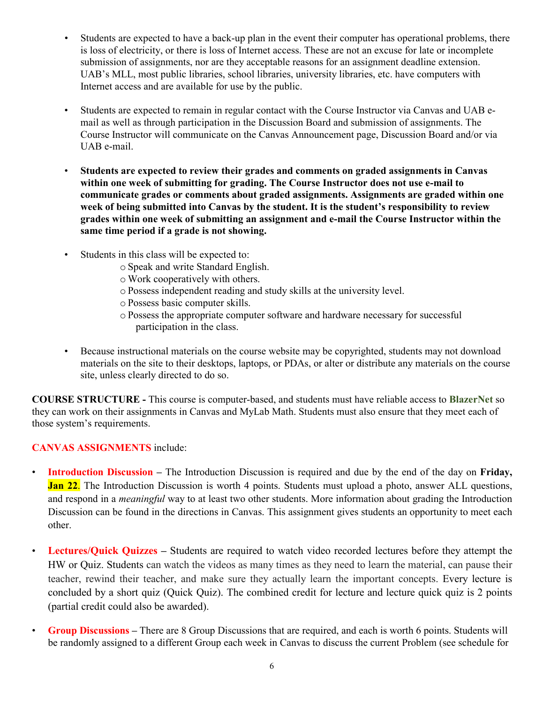- Students are expected to have a back-up plan in the event their computer has operational problems, there is loss of electricity, or there is loss of Internet access. These are not an excuse for late or incomplete submission of assignments, nor are they acceptable reasons for an assignment deadline extension. UAB's MLL, most public libraries, school libraries, university libraries, etc. have computers with Internet access and are available for use by the public.
- Students are expected to remain in regular contact with the Course Instructor via Canvas and UAB email as well as through participation in the Discussion Board and submission of assignments. The Course Instructor will communicate on the Canvas Announcement page, Discussion Board and/or via UAB e-mail.
- **Students are expected to review their grades and comments on graded assignments in Canvas within one week of submitting for grading. The Course Instructor does not use e-mail to communicate grades or comments about graded assignments. Assignments are graded within one week of being submitted into Canvas by the student. It is the student's responsibility to review grades within one week of submitting an assignment and e-mail the Course Instructor within the same time period if a grade is not showing.**
- Students in this class will be expected to:
	- o Speak and write Standard English.
	- o Work cooperatively with others.
	- o Possess independent reading and study skills at the university level.
	- o Possess basic computer skills.
	- o Possess the appropriate computer software and hardware necessary for successful participation in the class.
- Because instructional materials on the course website may be copyrighted, students may not download materials on the site to their desktops, laptops, or PDAs, or alter or distribute any materials on the course site, unless clearly directed to do so.

**COURSE STRUCTURE -** This course is computer-based, and students must have reliable access to **BlazerNet** so they can work on their assignments in Canvas and MyLab Math. Students must also ensure that they meet each of those system's requirements.

#### **CANVAS ASSIGNMENTS** include:

- **Introduction Discussion –** The Introduction Discussion is required and due by the end of the day on **Friday, Jan 22.** The Introduction Discussion is worth 4 points. Students must upload a photo, answer ALL questions, and respond in a *meaningful* way to at least two other students. More information about grading the Introduction Discussion can be found in the directions in Canvas. This assignment gives students an opportunity to meet each other.
- **Lectures/Quick Quizzes –** Students are required to watch video recorded lectures before they attempt the HW or Quiz. Students can watch the videos as many times as they need to learn the material, can pause their teacher, rewind their teacher, and make sure they actually learn the important concepts. Every lecture is concluded by a short quiz (Quick Quiz). The combined credit for lecture and lecture quick quiz is 2 points (partial credit could also be awarded).
- **Group Discussions –** There are 8 Group Discussions that are required, and each is worth 6 points. Students will be randomly assigned to a different Group each week in Canvas to discuss the current Problem (see schedule for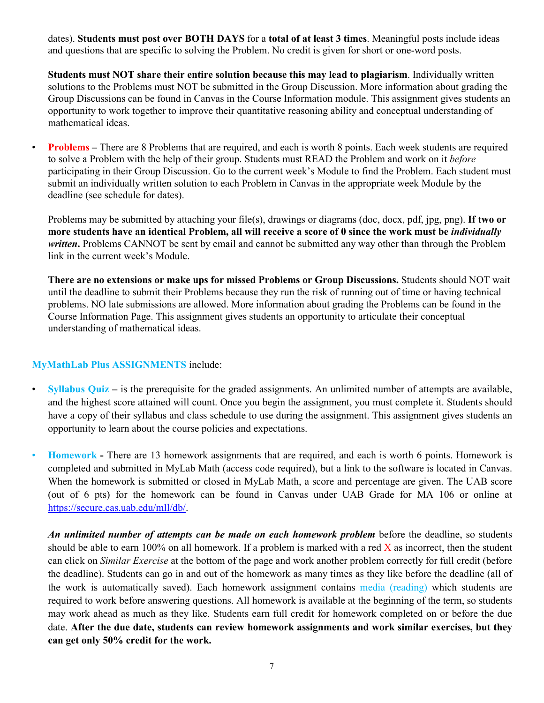dates). **Students must post over BOTH DAYS** for a **total of at least 3 times**. Meaningful posts include ideas and questions that are specific to solving the Problem. No credit is given for short or one-word posts.

**Students must NOT share their entire solution because this may lead to plagiarism**. Individually written solutions to the Problems must NOT be submitted in the Group Discussion. More information about grading the Group Discussions can be found in Canvas in the Course Information module. This assignment gives students an opportunity to work together to improve their quantitative reasoning ability and conceptual understanding of mathematical ideas.

• **Problems** – There are 8 Problems that are required, and each is worth 8 points. Each week students are required to solve a Problem with the help of their group. Students must READ the Problem and work on it *before*  participating in their Group Discussion. Go to the current week's Module to find the Problem. Each student must submit an individually written solution to each Problem in Canvas in the appropriate week Module by the deadline (see schedule for dates).

Problems may be submitted by attaching your file(s), drawings or diagrams (doc, docx, pdf, jpg, png). **If two or more students have an identical Problem, all will receive a score of 0 since the work must be** *individually*  written. Problems CANNOT be sent by email and cannot be submitted any way other than through the Problem link in the current week's Module.

**There are no extensions or make ups for missed Problems or Group Discussions.** Students should NOT wait until the deadline to submit their Problems because they run the risk of running out of time or having technical problems. NO late submissions are allowed. More information about grading the Problems can be found in the Course Information Page. This assignment gives students an opportunity to articulate their conceptual understanding of mathematical ideas.

#### **MyMathLab Plus ASSIGNMENTS** include:

- **Syllabus Quiz –** is the prerequisite for the graded assignments. An unlimited number of attempts are available, and the highest score attained will count. Once you begin the assignment, you must complete it. Students should have a copy of their syllabus and class schedule to use during the assignment. This assignment gives students an opportunity to learn about the course policies and expectations.
- **Homework -** There are 13 homework assignments that are required, and each is worth 6 points. Homework is completed and submitted in MyLab Math (access code required), but a link to the software is located in Canvas. When the homework is submitted or closed in MyLab Math, a score and percentage are given. The UAB score (out of 6 pts) for the homework can be found in Canvas under UAB Grade for MA 106 or online at [https://secure.cas.uab.edu/mll/db/.](https://secure.cas.uab.edu/mll/db/)

*An unlimited number of attempts can be made on each homework problem* before the deadline, so students should be able to earn 100% on all homework. If a problem is marked with a red  $\bar{X}$  as incorrect, then the student can click on *Similar Exercise* at the bottom of the page and work another problem correctly for full credit (before the deadline). Students can go in and out of the homework as many times as they like before the deadline (all of the work is automatically saved). Each homework assignment contains media (reading) which students are required to work before answering questions. All homework is available at the beginning of the term, so students may work ahead as much as they like. Students earn full credit for homework completed on or before the due date. **After the due date, students can review homework assignments and work similar exercises, but they can get only 50% credit for the work.**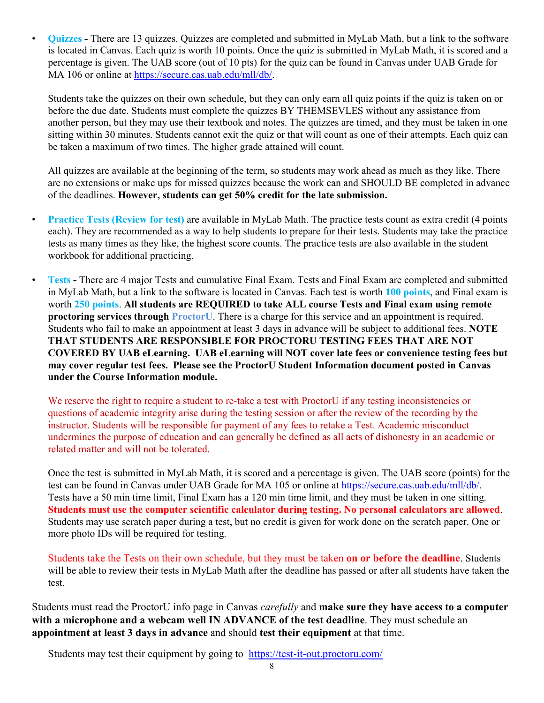• **Quizzes -** There are 13 quizzes. Quizzes are completed and submitted in MyLab Math, but a link to the software is located in Canvas. Each quiz is worth 10 points. Once the quiz is submitted in MyLab Math, it is scored and a percentage is given. The UAB score (out of 10 pts) for the quiz can be found in Canvas under UAB Grade for MA 106 or online at [https://secure.cas.uab.edu/mll/db/.](https://secure.cas.uab.edu/mll/db/)

Students take the quizzes on their own schedule, but they can only earn all quiz points if the quiz is taken on or before the due date. Students must complete the quizzes BY THEMSEVLES without any assistance from another person, but they may use their textbook and notes. The quizzes are timed, and they must be taken in one sitting within 30 minutes. Students cannot exit the quiz or that will count as one of their attempts. Each quiz can be taken a maximum of two times. The higher grade attained will count.

All quizzes are available at the beginning of the term, so students may work ahead as much as they like. There are no extensions or make ups for missed quizzes because the work can and SHOULD BE completed in advance of the deadlines. **However, students can get 50% credit for the late submission.**

- **Practice Tests (Review for test)** are available in MyLab Math. The practice tests count as extra credit (4 points each). They are recommended as a way to help students to prepare for their tests. Students may take the practice tests as many times as they like, the highest score counts. The practice tests are also available in the student workbook for additional practicing.
	- **Tests -** There are 4 major Tests and cumulative Final Exam. Tests and Final Exam are completed and submitted in MyLab Math, but a link to the software is located in Canvas. Each test is worth **100 points**, and Final exam is worth **250 points**. **All students are REQUIRED to take ALL course Tests and Final exam using remote proctoring services through ProctorU**. There is a charge for this service and an appointment is required. Students who fail to make an appointment at least 3 days in advance will be subject to additional fees. **NOTE THAT STUDENTS ARE RESPONSIBLE FOR PROCTORU TESTING FEES THAT ARE NOT COVERED BY UAB eLearning. UAB eLearning will NOT cover late fees or convenience testing fees but may cover regular test fees. Please see the ProctorU Student Information document posted in Canvas under the Course Information module.**

We reserve the right to require a student to re-take a test with ProctorU if any testing inconsistencies or questions of academic integrity arise during the testing session or after the review of the recording by the instructor. Students will be responsible for payment of any fees to retake a Test. Academic misconduct undermines the purpose of education and can generally be defined as all acts of dishonesty in an academic or related matter and will not be tolerated.

Once the test is submitted in MyLab Math, it is scored and a percentage is given. The UAB score (points) for the test can be found in Canvas under UAB Grade for MA 105 or online at https://secure.cas.uab.edu/mll/db/. Tests have a 50 min time limit, Final Exam has a 120 min time limit, and they must be taken in one sitting. **Students must use the computer scientific calculator during testing. No personal calculators are allowed**. Students may use scratch paper during a test, but no credit is given for work done on the scratch paper. One or more photo IDs will be required for testing.

Students take the Tests on their own schedule, but they must be taken **on or before the deadline**. Students will be able to review their tests in MyLab Math after the deadline has passed or after all students have taken the test.

Students must read the ProctorU info page in Canvas *carefully* and **make sure they have access to a computer with a microphone and a webcam well IN ADVANCE of the test deadline**. They must schedule an **appointment at least 3 days in advance** and should **test their equipment** at that time.

Students may test their equipment by going to <https://test-it-out.proctoru.com/>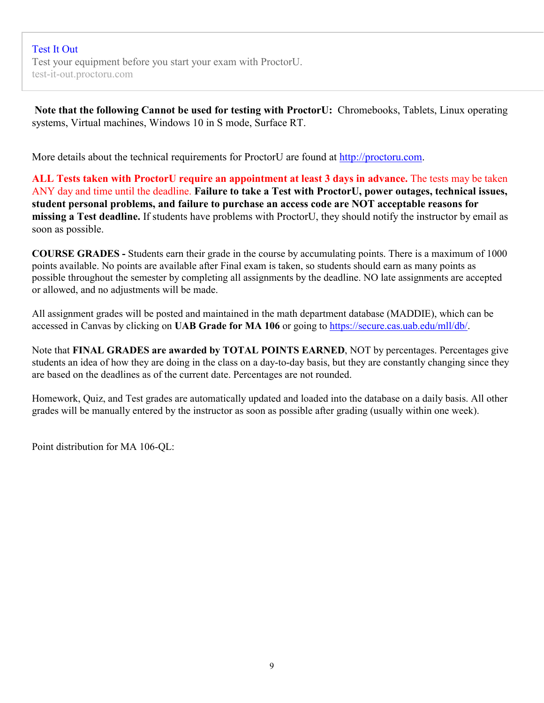[Test](https://test-it-out.proctoru.com/) It Out Test your equipment before you start your exam with ProctorU. test-it-out.proctoru.com

**Note that the following Cannot be used for testing with ProctorU:** Chromebooks, Tablets, Linux operating systems, Virtual machines, Windows 10 in S mode, Surface RT.

More details about the technical requirements for ProctorU are found at http://proctoru.com.

**ALL Tests taken with ProctorU require an appointment at least 3 days in advance.** The tests may be taken ANY day and time until the deadline. **Failure to take a Test with ProctorU, power outages, technical issues, student personal problems, and failure to purchase an access code are NOT acceptable reasons for missing a Test deadline.** If students have problems with ProctorU, they should notify the instructor by email as soon as possible.

**COURSE GRADES -** Students earn their grade in the course by accumulating points. There is a maximum of 1000 points available. No points are available after Final exam is taken, so students should earn as many points as possible throughout the semester by completing all assignments by the deadline. NO late assignments are accepted or allowed, and no adjustments will be made.

All assignment grades will be posted and maintained in the math department database (MADDIE), which can be accessed in Canvas by clicking on **UAB Grade for MA 106** or going to https://secure.cas.uab.edu/mll/db/.

Note that **FINAL GRADES are awarded by TOTAL POINTS EARNED**, NOT by percentages. Percentages give students an idea of how they are doing in the class on a day-to-day basis, but they are constantly changing since they are based on the deadlines as of the current date. Percentages are not rounded.

Homework, Quiz, and Test grades are automatically updated and loaded into the database on a daily basis. All other grades will be manually entered by the instructor as soon as possible after grading (usually within one week).

Point distribution for MA 106-QL: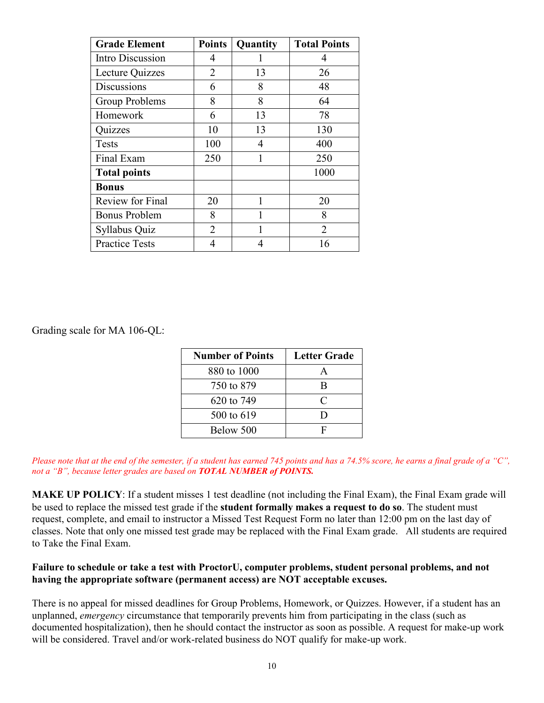| <b>Grade Element</b>    | <b>Points</b>  | Quantity     | <b>Total Points</b> |
|-------------------------|----------------|--------------|---------------------|
| Intro Discussion        | 4              |              | 4                   |
| Lecture Quizzes         | $\overline{2}$ | 13           | 26                  |
| Discussions             | 6              | 8            | 48                  |
| Group Problems          | 8              | 8            | 64                  |
| Homework                | 6              | 13           | 78                  |
| Quizzes                 | 10             | 13           | 130                 |
| <b>Tests</b>            | 100            | 4            | 400                 |
| Final Exam              | 250            | 1            | 250                 |
| <b>Total points</b>     |                |              | 1000                |
| <b>Bonus</b>            |                |              |                     |
| <b>Review for Final</b> | 20             | $\mathbf{1}$ | 20                  |
| <b>Bonus Problem</b>    | 8              | 1            | 8                   |
| Syllabus Quiz           | 2              |              | 2                   |
| <b>Practice Tests</b>   | 4              | 4            | 16                  |

Grading scale for MA 106-QL:

| <b>Number of Points</b> | <b>Letter Grade</b> |
|-------------------------|---------------------|
| 880 to 1000             |                     |
| 750 to 879              | R                   |
| 620 to 749              | C                   |
| 500 to 619              |                     |
| Below 500               |                     |

*Please note that at the end of the semester, if a student has earned 745 points and has a 74.5% score, he earns a final grade of a "C", not a "B", because letter grades are based on TOTAL NUMBER of POINTS.*

**MAKE UP POLICY**: If a student misses 1 test deadline (not including the Final Exam), the Final Exam grade will be used to replace the missed test grade if the **student formally makes a request to do so**. The student must request, complete, and email to instructor a Missed Test Request Form no later than 12:00 pm on the last day of classes. Note that only one missed test grade may be replaced with the Final Exam grade. All students are required to Take the Final Exam.

#### **Failure to schedule or take a test with ProctorU, computer problems, student personal problems, and not having the appropriate software (permanent access) are NOT acceptable excuses.**

There is no appeal for missed deadlines for Group Problems, Homework, or Quizzes. However, if a student has an unplanned, *emergency* circumstance that temporarily prevents him from participating in the class (such as documented hospitalization), then he should contact the instructor as soon as possible. A request for make-up work will be considered. Travel and/or work-related business do NOT qualify for make-up work.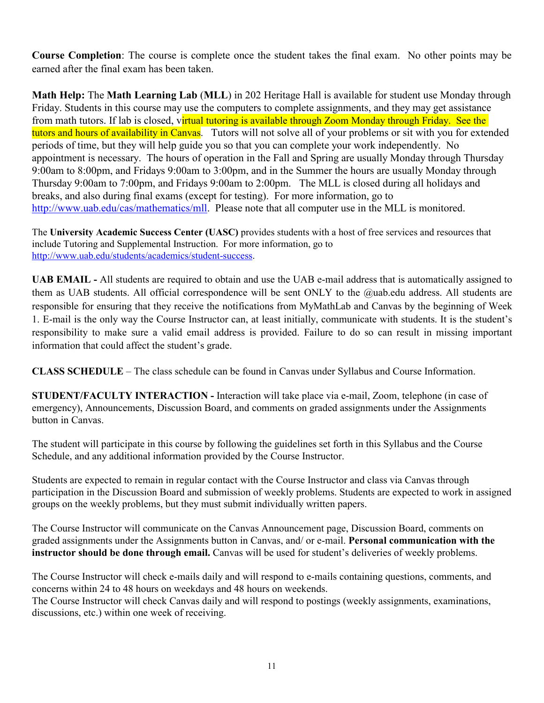**Course Completion**: The course is complete once the student takes the final exam. No other points may be earned after the final exam has been taken.

**Math Help:** The **Math Learning Lab** (**MLL**) in 202 Heritage Hall is available for student use Monday through Friday. Students in this course may use the computers to complete assignments, and they may get assistance from math tutors. If lab is closed, virtual tutoring is available through Zoom Monday through Friday. See the tutors and hours of availability in Canvas. Tutors will not solve all of your problems or sit with you for extended periods of time, but they will help guide you so that you can complete your work independently. No appointment is necessary. The hours of operation in the Fall and Spring are usually Monday through Thursday 9:00am to 8:00pm, and Fridays 9:00am to 3:00pm, and in the Summer the hours are usually Monday through Thursday 9:00am to 7:00pm, and Fridays 9:00am to 2:00pm. The MLL is closed during all holidays and breaks, and also during final exams (except for testing). For more information, go to [http://www.uab.edu/cas/mathematics/mll.](http://www.uab.edu/cas/mathematics/mll) Please note that all computer use in the MLL is monitored.

The **University Academic Success Center (UASC)** provides students with a host of free services and resources that include Tutoring and Supplemental Instruction. For more information, go to [http://www.uab.edu/students/academics/student-success.](http://www.uab.edu/students/academics/student-success)

**UAB EMAIL -** All students are required to obtain and use the UAB e-mail address that is automatically assigned to them as UAB students. All official correspondence will be sent ONLY to the @uab.edu address. All students are responsible for ensuring that they receive the notifications from MyMathLab and Canvas by the beginning of Week 1. E-mail is the only way the Course Instructor can, at least initially, communicate with students. It is the student's responsibility to make sure a valid email address is provided. Failure to do so can result in missing important information that could affect the student's grade.

**CLASS SCHEDULE** – The class schedule can be found in Canvas under Syllabus and Course Information.

**STUDENT/FACULTY INTERACTION -** Interaction will take place via e-mail, Zoom, telephone (in case of emergency), Announcements, Discussion Board, and comments on graded assignments under the Assignments button in Canvas.

The student will participate in this course by following the guidelines set forth in this Syllabus and the Course Schedule, and any additional information provided by the Course Instructor.

Students are expected to remain in regular contact with the Course Instructor and class via Canvas through participation in the Discussion Board and submission of weekly problems. Students are expected to work in assigned groups on the weekly problems, but they must submit individually written papers.

The Course Instructor will communicate on the Canvas Announcement page, Discussion Board, comments on graded assignments under the Assignments button in Canvas, and/ or e-mail. **Personal communication with the instructor should be done through email.** Canvas will be used for student's deliveries of weekly problems.

The Course Instructor will check e-mails daily and will respond to e-mails containing questions, comments, and concerns within 24 to 48 hours on weekdays and 48 hours on weekends.

The Course Instructor will check Canvas daily and will respond to postings (weekly assignments, examinations, discussions, etc.) within one week of receiving.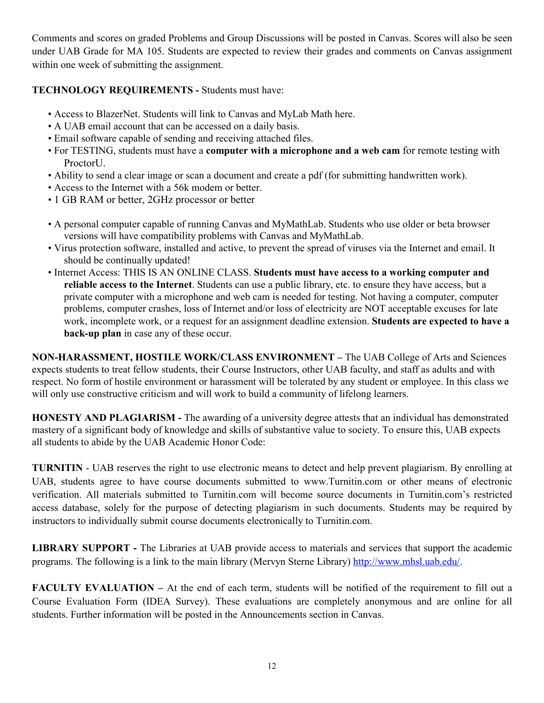Comments and scores on graded Problems and Group Discussions will be posted in Canvas. Scores will also be seen under UAB Grade for MA 105. Students are expected to review their grades and comments on Canvas assignment within one week of submitting the assignment.

### **TECHNOLOGY REQUIREMENTS -** Students must have:

- Access to BlazerNet. Students will link to Canvas and MyLab Math here.
- A UAB email account that can be accessed on a daily basis.
- Email software capable of sending and receiving attached files.
- For TESTING, students must have a **computer with a microphone and a web cam** for remote testing with ProctorU.
- Ability to send a clear image or scan a document and create a pdf (for submitting handwritten work).
- Access to the Internet with a 56k modem or better.
- 1 GB RAM or better, 2GHz processor or better
- A personal computer capable of running Canvas and MyMathLab. Students who use older or beta browser versions will have compatibility problems with Canvas and MyMathLab.
- Virus protection software, installed and active, to prevent the spread of viruses via the Internet and email. It should be continually updated!
- Internet Access: THIS IS AN ONLINE CLASS. **Students must have access to a working computer and reliable access to the Internet**. Students can use a public library, etc. to ensure they have access, but a private computer with a microphone and web cam is needed for testing. Not having a computer, computer problems, computer crashes, loss of Internet and/or loss of electricity are NOT acceptable excuses for late work, incomplete work, or a request for an assignment deadline extension. **Students are expected to have a back-up plan** in case any of these occur.

**NON-HARASSMENT, HOSTILE WORK/CLASS ENVIRONMENT –** The UAB College of Arts and Sciences expects students to treat fellow students, their Course Instructors, other UAB faculty, and staff as adults and with respect. No form of hostile environment or harassment will be tolerated by any student or employee. In this class we will only use constructive criticism and will work to build a community of lifelong learners.

**HONESTY AND PLAGIARISM -** The awarding of a university degree attests that an individual has demonstrated mastery of a significant body of knowledge and skills of substantive value to society. To ensure this, UAB expects all students to abide by the UAB Academic Honor Code:

**TURNITIN** - UAB reserves the right to use electronic means to detect and help prevent plagiarism. By enrolling at UAB, students agree to have course documents submitted to www.Turnitin.com or other means of electronic verification. All materials submitted to Turnitin.com will become source documents in Turnitin.com's restricted access database, solely for the purpose of detecting plagiarism in such documents. Students may be required by instructors to individually submit course documents electronically to Turnitin.com.

**LIBRARY SUPPORT -** The Libraries at UAB provide access to materials and services that support the academic programs. The following is a link to the main library (Mervyn Sterne Library) http://www.mhsl.uab.edu/.

**FACULTY EVALUATION** – At the end of each term, students will be notified of the requirement to fill out a Course Evaluation Form (IDEA Survey). These evaluations are completely anonymous and are online for all students. Further information will be posted in the Announcements section in Canvas.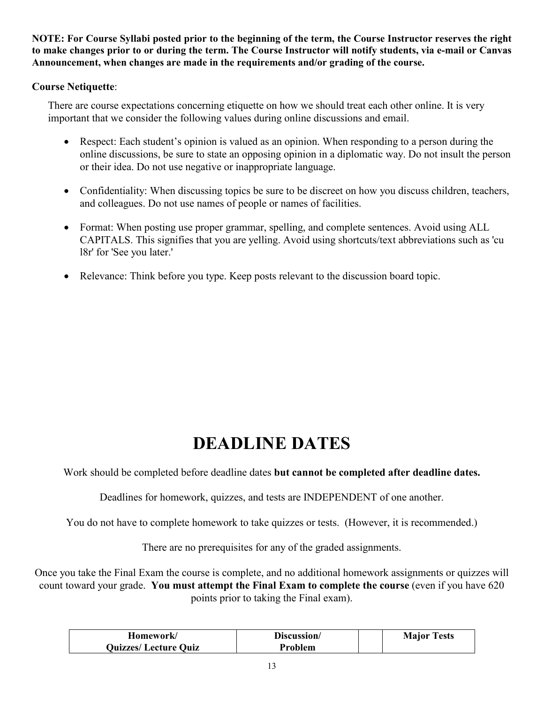**NOTE: For Course Syllabi posted prior to the beginning of the term, the Course Instructor reserves the right to make changes prior to or during the term. The Course Instructor will notify students, via e-mail or Canvas Announcement, when changes are made in the requirements and/or grading of the course.**

### **Course Netiquette**:

There are course expectations concerning etiquette on how we should treat each other online. It is very important that we consider the following values during online discussions and email.

- Respect: Each student's opinion is valued as an opinion. When responding to a person during the online discussions, be sure to state an opposing opinion in a diplomatic way. Do not insult the person or their idea. Do not use negative or inappropriate language.
- Confidentiality: When discussing topics be sure to be discreet on how you discuss children, teachers, and colleagues. Do not use names of people or names of facilities.
- Format: When posting use proper grammar, spelling, and complete sentences. Avoid using ALL CAPITALS. This signifies that you are yelling. Avoid using shortcuts/text abbreviations such as 'cu l8r' for 'See you later.'
- Relevance: Think before you type. Keep posts relevant to the discussion board topic.

# **DEADLINE DATES**

Work should be completed before deadline dates **but cannot be completed after deadline dates.**

Deadlines for homework, quizzes, and tests are INDEPENDENT of one another.

You do not have to complete homework to take quizzes or tests. (However, it is recommended.)

There are no prerequisites for any of the graded assignments.

Once you take the Final Exam the course is complete, and no additional homework assignments or quizzes will count toward your grade. **You must attempt the Final Exam to complete the course** (even if you have 620 points prior to taking the Final exam).

| Homework/                   | Discussion/ | <b>Major Tests</b> |
|-----------------------------|-------------|--------------------|
| <b>Quizzes/Lecture Quiz</b> | Problem     |                    |